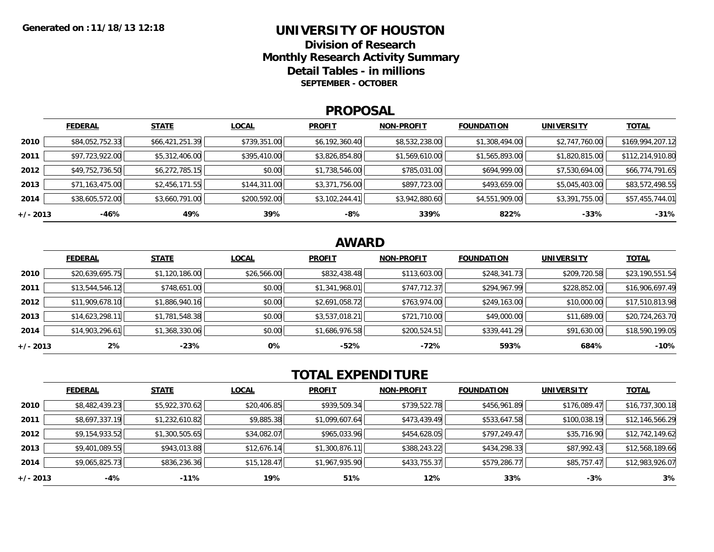### **UNIVERSITY OF HOUSTON**

**Division of ResearchMonthly Research Activity Summary Detail Tables - in millions SEPTEMBER - OCTOBER**

#### **PROPOSAL**

|            | <b>FEDERAL</b>  | <b>STATE</b>    | <b>LOCAL</b> | <b>PROFIT</b>  | <b>NON-PROFIT</b> | <b>FOUNDATION</b> | <b>UNIVERSITY</b> | <u>TOTAL</u>     |
|------------|-----------------|-----------------|--------------|----------------|-------------------|-------------------|-------------------|------------------|
| 2010       | \$84,052,752.33 | \$66,421,251.39 | \$739,351.00 | \$6,192,360.40 | \$8,532,238.00    | \$1,308,494.00    | \$2,747,760.00    | \$169,994,207.12 |
| 2011       | \$97,723,922.00 | \$5,312,406.00  | \$395,410.00 | \$3,826,854.80 | \$1,569,610.00    | \$1,565,893.00    | \$1,820,815.00    | \$112,214,910.80 |
| 2012       | \$49,752,736.50 | \$6,272,785.15  | \$0.00       | \$1,738,546.00 | \$785,031.00      | \$694,999.00      | \$7,530,694.00    | \$66,774,791.65  |
| 2013       | \$71,163,475.00 | \$2,456,171.55  | \$144,311.00 | \$3,371,756.00 | \$897,723.00      | \$493,659.00      | \$5,045,403.00    | \$83,572,498.55  |
| 2014       | \$38,605,572.00 | \$3,660,791.00  | \$200,592.00 | \$3,102,244.41 | \$3,942,880.60    | \$4,551,909.00    | \$3,391,755.00    | \$57,455,744.01  |
| $+/- 2013$ | $-46%$          | 49%             | 39%          | -8%            | 339%              | 822%              | $-33%$            | $-31%$           |

## **AWARD**

|            | <b>FEDERAL</b>  | <b>STATE</b>   | <b>LOCAL</b> | <b>PROFIT</b>  | <b>NON-PROFIT</b> | <b>FOUNDATION</b> | <b>UNIVERSITY</b> | <b>TOTAL</b>    |
|------------|-----------------|----------------|--------------|----------------|-------------------|-------------------|-------------------|-----------------|
| 2010       | \$20,639,695.75 | \$1,120,186.00 | \$26,566.00  | \$832,438.48   | \$113,603.00      | \$248,341.73      | \$209,720.58      | \$23,190,551.54 |
| 2011       | \$13,544,546.12 | \$748,651.00   | \$0.00       | \$1,341,968.01 | \$747,712.37      | \$294,967.99      | \$228,852.00      | \$16,906,697.49 |
| 2012       | \$11,909,678.10 | \$1,886,940.16 | \$0.00       | \$2,691,058.72 | \$763,974.00      | \$249,163.00      | \$10,000.00       | \$17,510,813.98 |
| 2013       | \$14,623,298.11 | \$1,781,548.38 | \$0.00       | \$3,537,018.21 | \$721,710.00      | \$49,000.00       | \$11,689.00       | \$20,724,263.70 |
| 2014       | \$14,903,296.61 | \$1,368,330.06 | \$0.00       | \$1,686,976.58 | \$200,524.51      | \$339,441.29      | \$91,630.00       | \$18,590,199.05 |
| $+/- 2013$ | 2%              | $-23%$         | 0%           | $-52%$         | -72%              | 593%              | 684%              | $-10%$          |

# **TOTAL EXPENDITURE**

|          | <b>FEDERAL</b> | <b>STATE</b>   | <b>LOCAL</b> | <b>PROFIT</b>  | <b>NON-PROFIT</b> | <b>FOUNDATION</b> | <b>UNIVERSITY</b> | <b>TOTAL</b>    |
|----------|----------------|----------------|--------------|----------------|-------------------|-------------------|-------------------|-----------------|
| 2010     | \$8,482,439.23 | \$5,922,370.62 | \$20,406.85  | \$939,509.34   | \$739,522.78      | \$456,961.89      | \$176,089.47      | \$16,737,300.18 |
| 2011     | \$8,697,337.19 | \$1,232,610.82 | \$9,885.38   | \$1,099,607.64 | \$473,439.49      | \$533,647.58      | \$100,038.19      | \$12,146,566.29 |
| 2012     | \$9,154,933.52 | \$1,300,505.65 | \$34,082.07  | \$965,033.96   | \$454,628.05      | \$797,249.47      | \$35,716.90       | \$12,742,149.62 |
| 2013     | \$9,401,089.55 | \$943,013.88   | \$12,676.14  | \$1,300,876.11 | \$388,243.22      | \$434,298.33      | \$87,992.43       | \$12,568,189.66 |
| 2014     | \$9,065,825.73 | \$836,236.36   | \$15,128.47  | \$1,967,935.90 | \$433,755.37      | \$579,286.77      | \$85,757.47       | \$12,983,926.07 |
| +/- 2013 | -4%            | $-11\%$        | 19%          | 51%            | 12%               | 33%               | $-3%$             | 3%              |